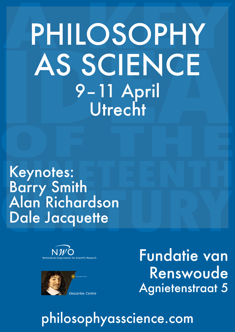# PHILOSOPHY AS SCIENCE 9-11 April<br>Utrecht

Keynotes:<br>Barry Smith<br>Alan Richardson Dale Jacquette





**Fundatie van** Renswoude **Agnietenstraat 5** 

## philosophyasscience.com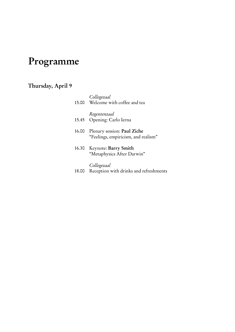## Programme

## Thursday, April 9

|       | Collegezaal<br>15.00 Welcome with coffee and tea                   |
|-------|--------------------------------------------------------------------|
|       | Regentenzaal<br>15.45 Opening: Carlo Ierna                         |
| 16.00 | Plenary session: Paul Ziche<br>"Feelings, empiricism, and realism" |
|       | 16.30 Keynote: Barry Smith<br>"Metaphysics After Darwin"           |
| 18.00 | Collegezaal<br>Reception with drinks and refreshments              |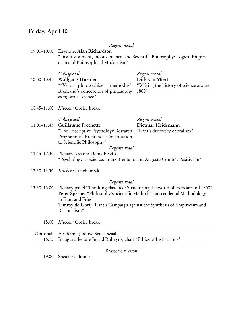## Friday, April 10

|             | Regentenzaal                                                                                                                                                                                               |                                                                                   |  |
|-------------|------------------------------------------------------------------------------------------------------------------------------------------------------------------------------------------------------------|-----------------------------------------------------------------------------------|--|
| 09.00-10.00 | Keynote: Alan Richardson<br>"Disillusionment, Inconvenience, and Scientific Philosophy: Logical Empiri-<br>cism and Philosophical Modernism"                                                               |                                                                                   |  |
| 10.00-10.45 | Collegezaal<br>Wolfgang Huemer<br>""Vera<br>philosophiae<br>methodus":<br>Brentano's conception of philosophy<br>as rigorous science"                                                                      | Regentenzaal<br>Dirk van Miert<br>"Writing the history of science around<br>1800" |  |
| 10.45-11.00 | Kitchen: Coffee break                                                                                                                                                                                      |                                                                                   |  |
| 11.00-11.45 | Collegezaal<br><b>Guillaume Frechette</b><br>"The Descriptive Psychology Research<br>Programme - Brentano's Contribution<br>to Scientific Philosophy"<br>Regentenzaal                                      | Regentenzaal<br>Dietmar Heidemann<br>"Kant's discovery of realism"                |  |
| 11.45-12.30 | Plenary session: Denis Fisette<br>"Psychology as Science. Franz Brentano and Auguste Comte's Positivism"                                                                                                   |                                                                                   |  |
| 12.30-13.30 | Kitchen: Lunch break                                                                                                                                                                                       |                                                                                   |  |
| 13.30-15.00 | Regentenzaal<br>Peter Sperber "Philosophy's Scientific Method: Transcendental Methodology<br>in Kant and Fries"<br>Timmy de Goeij "Kant's Campaign against the Synthesis of Empiricism and<br>Rationalism" | Plenary panel "Thinking classified: Structuring the world of ideas around 1800"   |  |
| 15.00       | Kitchen: Coffee break                                                                                                                                                                                      |                                                                                   |  |
| Optional:   | Academiegebouw, Senaatszaal                                                                                                                                                                                |                                                                                   |  |
| 16.15       | Inaugural lecture Ingrid Robeyns, chair "Ethics of Institutions"                                                                                                                                           |                                                                                   |  |

Brasserie Bresson

19.00 Speakers' dinner

 $\overline{a}$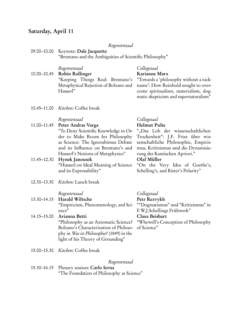#### Saturday, April 11

#### Regentenzaal

| 09.00–10.00 Keynote: Dale Jacquette                     |  |
|---------------------------------------------------------|--|
| "Brentano and the Ambiguities of Scientific Philosophy" |  |

| Regentenzaal                | Collegezaal                                                               |
|-----------------------------|---------------------------------------------------------------------------|
| 10.00–10.45 Robin Rollinger | Karianne Marx                                                             |
|                             | "Keeping Things Real: Brentano's "Towards a 'philosophy without a nick-   |
|                             | Metaphysical Rejection of Bolzano and name': How Reinhold sought to over- |
| Husserl"                    | come spiritualism, materialism, dog-                                      |
|                             | matic skepticism and supernaturalism"                                     |

"On the Very Idea of Goethe's, Schelling's, and Ritter's Polarity"

""Dogmatismus" und "Kritizismus" in

"Whewell's Conception of Philosophy

F.W.J.Schellings Frühwerk"

of Science"

10.45–11.00 Kitchen: Coffee break

#### Regentenzaal Collegezaal

#### 11.00–11.45 Peter Andras Varga Helmut Pulte "To Deny Scientific Knowledge in Order to Make Room for Philosophy as Science: The Ignorabimus Debate and its Influence on Brentano's and Husserl's Notions of Metaphysics" ""Das Lob der wissenschaftlichen Trockenheit": J.F. Fries über wissenschaftliche Philosophie, Empirismus, Kritizismus und die Dynamisierung des Kantischen Apriori." 11.45–12.30 Hynek Janousek Olaf Müller

- "Husserl on Ideal Meaning of Science and its Expressibility"
- 12.30–13.30 Kitchen: Lunch break

#### Regentenzaal Collegezaal

13.30–14.15 Harald Wiltsche Petr Rezvykh "Empiricism, Phenomenology, and Science"

#### 14.15–15.00 Arianna Betti Claus Beisbart "Philosophy as an Axiomatic Science? Bolzano's Characterization of Philosophy in Was ist Philosophie? (1849) in the light of his Theory of Grounding"

15.00–15.30 Kitchen: Coffee break

#### Regentenzaal

15.30–16.15 Plenary session: Carlo Ierna "The Foundation of Philosophy as Science"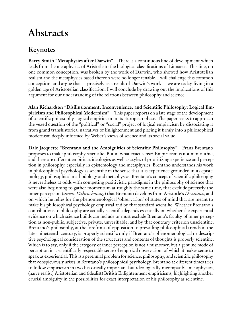## Abstracts

## Keynotes

Barry Smith "Metaphysics after Darwin" There is a continuous line of development which leads from the metaphysics of Aristotle to the biological classifications of Linnaeus. This line, on one common conception, was broken by the work of Darwin, who showed how Aristotelian realism and the metaphysics based thereon were no longer tenable. I will challenge this common conception, and argue that — precisely as a result of Darwin's work — we are today living in a golden age of Aristotelian classification. I will conclude by drawing out the implications of this argument for our understanding of the relations between philosophy and science.

Alan Richardson "Disillusionment, Inconvenience, and Scientific Philosophy: Logical Empiricism and Philosophical Modernism" This paper reports on a late stage of the development of scientific philosophy–logical empiricism in its European phase. The paper seeks to approach the vexed question of the "political" or "social" project of logical empiricism by dissociating it from grand transhistorical narratives of Enlightenment and placing it firmly into a philosophical modernism deeply informed by Weber's views of science and its social value.

Dale Jacquette "Brentano and the Ambiguities of Scientific Philosophy" Franz Brentano proposes to make philosophy scientific. But in what exact sense? Empiricism is not monolithic, and there are different empiricist ideologies as well as styles of prioritizing experience and perception in philosophy, especially in epistemology and metaphysics. Brentano understands his work in philosophical psychology as scientific in the sense that it is experience-grounded in its epistemology, philosophical methodology and metaphysics. Brentano's concept of scientific philosophy is nevertheless at odds with competing positivistic paradigms in the philosophy of science that were also beginning to gather momentum at roughly the same time, that exclude precisely the inner perception *(innere Wahrnehmung)* that Brentano develops from Aristotle's *De anima*, and on which he relies for the phenomenological 'observation' of states of mind that are meant to make his philosophical psychology empirical and by that standard scientific. Whether Brentano's contributions to philosophy are actually scientific depends essentially on whether the experiential evidence on which science builds can include or must exclude Brentano's faculty of inner perception as non-public, subjective, private, unverifiable, and by that contrary criterion unscientific. Brentano's philosophy, at the forefront of opposition to prevailing philosophical trends in the later nineteenth century, is properly scientific only if Brentano's phenomenological or descriptive psychological consideration of the structures and contents of thoughts is properly scientific. Which is to say, only if the category of inner perception is not a misnomer, but a genuine mode of perception in a scientifically respectable sense of empirical observation, of which it makes sense to speak as experiential. This is a perennial problem for science, philosophy, and scientific philosophy that conspicuously arises in Brentano's philosophical psychology. Brentano at different times tries to follow empiricism in two historically important but ideologically incompatible metaphysics, (naïve realist) Aristotelian and (idealist) British Enlightenment empiricisms, highlighting another crucial ambiguity in the possibilities for exact interpretation of his philosophy as scientific.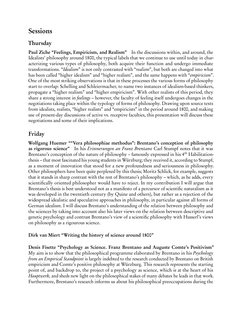### **Sessions**

#### Thursday

Paul Ziche "Feelings, Empiricism, and Realism" In the discussions within, and around, the Idealists' philosophy around 1800, the typical labels that we continue to use until today in characterizing various types of philosophy, both acquire their function and undergo immediate transformations. "Idealism" is not only contrasted with "realism", but both are changed into what has been called "higher idealism" and "higher realism", and the same happens with "empiricism". One of the most striking observations is that in these processes the various forms of philosophy start to overlap: Schelling and Schleiermacher, to name two instances of idealism-based thinkers, propagate a "higher realism" and "higher empiricism". With other realists of this period, they share a strong interest in feelings – however, the faculty of feeling itself undergoes changes in the negotiations taking place within the typology of forms of philosophy. Drawing upon source texts from idealists, realists, "higher realists" and "empiricists" in the period around 1800, and making use of present-day discussions of active vs. receptive faculties, this presentation will discuss these negotiations and some of their implications.

#### Friday

Wolfgang Huemer ""Vera philosophiae methodus": Brentano's conception of philosophy as rigorous science" In his Erinnerungen an Franz Brentano Carl Stumpf notes that it was Brentano's conception of the nature of philosophy – famously expressed in his 4<sup>th</sup> Habilitationthesis – that most fascinated his young students in Würzburg; they received it, according to Stumpf, as a moment of innovation that stood for a new profoundness and seriousness in philosophy. Other philosophers have been quite perplexed by this thesis; Moritz Schlick, for example, suggests that it stands in sharp contrast with the rest of Brentano's philosophy – which, as he adds, every scientifically oriented philosopher would have to reject. In my contribution I will argue that Brentano's thesis is best understood not as a manifesto of a percursor of scientific naturalism as it was developed in the twentieth century (by Quine and others), but rather as a rejection of the widespread idealistic and speculative approaches in philosophy, in particular against all forms of German idealism. I will discuss Brentano's understanding of the relation between philosophy and the sciences by taking into account also his later views on the relation between descriptive and genetic psychology and contrast Brentano's view of a scientific philosophy with Husserl's views on philosophy as a rigourous science.

#### Dirk van Miert "Writing the history of science around 1800"

Denis Fisette "Psychology as Science. Franz Brentano and Auguste Comte's Positivism" My aim is to show that the philosophical programme elaborated by Brentano in his *Psychology* from an Empirical Standpoint is largely indebted to the research conducted by Brentano on British empiricism and Comte's positive philosophy at Würzburg. This research represents the starting point of, and backdrop to, the project of a psychology as science, which is at the heart of his Hauptwerk, and sheds new light on the philosophical stakes of many debates he leads in that work. Furthermore, Brentano's research informs us about his philosophical preoccupations during the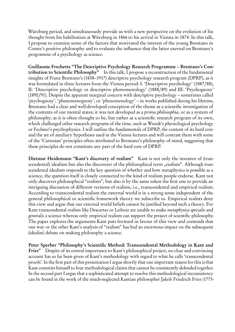Würzburg period, and simultaneously provide us with a new perspective on the evolution of his thought from his habilitation at Würzburg in 1866 to his arrival in Vienna in 1874. In this talk, I propose to examine some of the factors that motivated the interest of the young Brentano in Comte's positive philosophy and to evaluate the influence that the latter exerted on Brentano's programme of a psychology as science.

Guillaume Frechette "The Descriptive Psychology Research Programme – Brentano's Contribution to Scientific Philosophy" In this talk, I propose a reconstruction of the fundamental insights of Franz Brentano's (1838–1917) descriptive psychology research program (DPRP), as it was formulated in three lectures from the Vienna period: I: 'Descriptive psychology' (1887/88), II: 'Descriptive psychology or descriptive phenomenology' (1888/89) and III: 'Psychognosy' (1890/91). Despite the apparent marginal concern with descriptive psychology – sometimes called 'psychognosy', 'phenomenognosy', or 'phenomenology' – in works published during his lifetime, Brentano had a clear and well-developed conception of the theme as a scientific investigation of the contents of our mental states; it was not developed as a prima philosophia, or as a system of philosophy, as it is often thought to be, but rather as a scientific research program of its own, which challenged other research programs of the time, such as Wundt's physiological psychology or Fechner's psychophysics. I will outline the fundamentals of DPRP, the content of its hard core and the set of auxiliary hypotheses used in the Vienna lectures and will contrast them with some of the 'Cartesian' principles often attributed to Brentano's philosophy of mind, suggesting that these principles do not constitute any part of the hard core of DPRP.

Dietmar Heidemann "Kant's discovery of realism" Kant is not only the inventor of (transcendental) idealism but also the discoverer of the philosophical term "realism". Although transcendental idealism responds to the key question of whether and how metaphysics is possible as a science, the question itself is closely connected to the kind of realism people endorse. Kant not only discovers philosophical "realism", but also is by the same token the first one to provide an intriguing discussion of different versions of realism, i.e., transcendental and empirical realism. According to transcendental realism the external world is in a strong sense independent of the general philosophical or scientific framework theory we subscribe to. Empirical realists deny this view and argue that our external world beliefs cannot be justified beyond such a theory. For Kant transcendental realists like Descartes or Leibniz are unable to make metaphysica specialis and generalis a science whereas only empirical realism can support the project of scientific philosophy. The paper explores the arguments Kant puts forward in favour of this view and contends that one way or the other Kant's analysis of "realism" has had an enormous impact on the subsequent (idealist) debate on making philosophy a science.

Peter Sperber "Philosophy's Scientific Method: Transcendental Methodology in Kant and Fries" Despite of its central importance to Kant's philosophical project, no clear and convincing account has so far been given of Kant's methodology with regard to what he calls 'transcendental proofs'. In the first part of this presentation I argue shortly that one important reason for this is that Kant commits himself to four methodological claims that cannot be consistently defended together. In the second part I argue that a sophisticated attempt to resolve this methodological inconsistency can be found in the work of the much-neglected Kantian philosopher Jakob Friedrich Fries (1773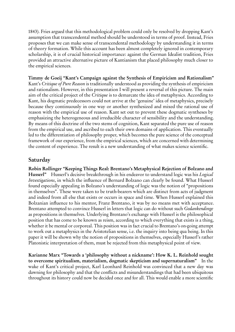1843). Fries argued that this methodological problem could only be resolved by dropping Kant's assumption that transcendental method should be understood in terms of proof. Instead, Fries proposes that we can make sense of transcendental methodology by understanding it in terms of theory formation. While this account has been almost completely ignored in contemporary scholarship, it is of crucial historical importance: against the German Idealist tradition, Fries provided an attractive alternative picture of Kantianism that placed philosophy much closer to the empirical sciences.

Timmy de Goeij "Kant's Campaign against the Synthesis of Empiricism and Rationalism" Kant's Critique of Pure Reason is traditionally understood as providing the synthesis of empiricism and rationalism. However, in this presentation I will present a reversal of this picture. The main aim of the critical project of the Critique is to demarcate the idea of metaphysics. According to Kant, his dogmatic predecessors could not arrive at the 'genuine' idea of metaphysics, precisely because they continuously in one way or another synthesized and mixed the rational use of reason with the empirical use of reason. Kant set out to prevent these dogmatic syntheses by emphasizing the heterogeneous and irreducible character of sensibility and the understanding. By means of this doctrine of the two stems of cognition, Kant separated the pure use of reason from the empirical use, and ascribed to each their own domains of application. This eventually led to the differentiation of philosophy proper, which becomes the pure science of the conceptual framework of our experience, from the empirical sciences, which are concerned with determining the content of experience. The result is a new understanding of what makes science scientific.

#### Saturday

Robin Rollinger "Keeping Things Real: Brentano's Metaphysical Rejection of Bolzano and Husserl" Husserl's decisive breakthrough in his endeavor to understand logic was his *Logical* Investigations, in which the influence of Bernard Bolzano can clearly be found. What Husserl found especially appealing in Bolzano's understanding of logic was the notion of "propositions in themselves". These were taken to be truth-bearers which are distinct from acts of judgment and indeed from all else that exists or occurs in space and time. When Husserl explained this Bolzanian influence to his mentor, Franz Brentano, it was by no means met with acceptance. Brentano attempted to convince Husserl in letters that logic can do without such Gedankendinge as propositions in themselves. Underlying Brentano's exchange with Husserl is the philosophical position that has come to be known as reism, according to which everything that exists is a thing, whether it be mental or corporeal. This position was in fact crucial to Brentano's on-going attempt to work out a metaphysics in the Aristotelian sense, i.e. the inquiry into being qua being. In this paper it will be shown why the notion of propositions in themselves, especially Husserl's rather Platonistic interpretation of them, must be rejected from this metaphysical point of view.

Karianne Marx "Towards a 'philosophy without a nickname': How K. L. Reinhold sought to overcome spiritualism, materialism, dogmatic skepticism and supernaturalism" In the wake of Kant's critical project, Karl Leonhard Reinhold was convinced that a new day was dawning for philosophy and that the conflicts and misunderstandings that had been ubiquitous throughout its history could now be decided once and for all. This would enable a more scientific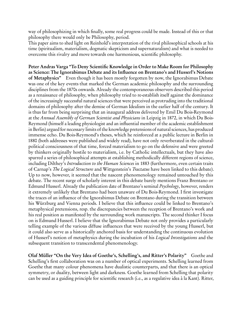way of philosophizing in which finally, some real progress could be made. Instead of this or that philosophy there would only be Philosophy, period.

This paper aims to shed light on Reinhold's interpretation of the rival philosophical schools at his time (spiritualism, materialism, dogmatic skepticism and supernaturalism) and what is needed to overcome this rivalry and move towards one harmonious, scientific philosophy.

Peter Andras Varga "To Deny Scientific Knowledge in Order to Make Room for Philosophy as Science: The Ignorabimus Debate and its Influence on Brentano's and Husserl's Notions of Metaphysics" Even though it has been mostly forgotten by now, the Ignorabimus Debate was one of the key events that marked the German academic philosophy and the surrounding disciplines from the 1870s onwards. Already the contemporaneous observers described this period as a renaissance of philosophy, when philosophy tried to re-establish itself against the dominance of the increasingly successful natural sciences that were perceived as protruding into the traditional domains of philosophy after the demise of German Idealism in the earlier half of the century. It is thus far from being surprising that an inaugural address delivered by Emil Du Bois-Reymond at the Annual Assembly of German Scientist and Physicians in Leipzig in 1872, in which Du Bois-Reymond (himself a leading physiologist and an influential member of the academic establishment in Berlin) argued for necessary limits of the knowledge pretensions of natural sciences, has produced immense echo. Du Bois-Reymond's theses, which he reinforced at a public lecture in Berlin in 1880 (both addresses were published and widely read), have not only reverberated in the culturalpolitical consciousness of that time, forced materialism to go on the defensive and were greeted by thinkers originally hostile to materialism, i.e. by Catholic intellectuals, but they have also spurred a series of philosophical attempts at establishing methodically different regions of science, including Dilthey's *Introduction to the Human Sciences* in 1883 (furthermore, even certain traits of Carnap's The Logical Structure and Wittgenstein's Tractatus have been linked to this debate). Up to now, however, it seemed that the nascent phenomenology remained untouched by this debate. The recent surge of scholarly interest in this debate barely mentions Franz Brentano or Edmund Husserl. Already the publication date of Brentano's seminal Psychology, however, renders it extremely unlikely that Brentano had been unaware of Du Bois-Reymond. I first investigate the traces of an influence of the Ignorabimus Debate on Brentano during the transition between his Würzburg and Vienna periods. I believe that this influence could be linked to Brentano's metaphysical pretensions, resp. the discrepancies between the reception of Brentano's work and his real position as manifested by the surrounding work manuscripts. The second thinker I focus on is Edmund Husserl. I believe that the Ignorabimus Debate not only provides a particularly telling example of the various diffuse influences that were received by the young Husserl, but it could also serve as a historically anchored basis for understanding the continuous evolution of Husserl's notion of metaphysics during the incubation of his Logical Investigations and the subsequent transition to transcendental phenomenology.

Olaf Müller "On the Very Idea of Goethe's, Schelling's, and Ritter's Polarity" Goethe and Schelling's first collaboration was on a number of optical experiments. Schelling learned from Goethe that many colour phenomena have dualistic counterparts, and that there is an optical symmetry, or duality, between light and darkness. Goethe learned from Schelling that polarity can be used as a guiding principle for scientific research (i.e., as a regulative idea à la Kant). Ritter,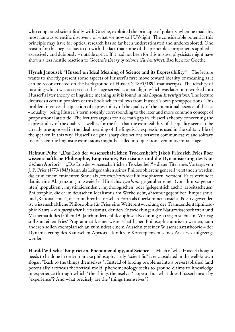who cooperated scientifically with Goethe, exploited the principle of polarity when he made his most famous scientific discovery of what we now call UV-light. The considerable potential this principle may have for optical research has so far been underestimated and underexplored. One reason for this neglect has to do with the fact that some of the principle's proponents applied it excessively and dubiously – outside optics. If it had not been for this misuse, physicists might have shown a less hostile reaction to Goethe's theory of colours (Farbenlehre). Bad luck for Goethe.

Hynek Janousek "Husserl on Ideal Meaning of Science and its Expressibility" The lecture wants to shortly present some aspects of Husserl's first move toward ideality of meaning as it can be reconstructed on the background of Husserl's 1893/1894 manuscripts. The ideality of meaning which was accepted at this stage served as a paradigm which was later on reworked into Husserl's later theory of linguistic meaning as it is found in his Logical Investigations. The lecture discusses a certain problem of this book which follows from Husserl's own presuppositions. This problem involves the question of expressibility of the quality of the intentional essence of the act – "quality" being Husserl's term roughly corresponding to the later and more common concept of propositional attitude. The lectures argues for a certain gap in Husserl's theory concerning the expressibility of the quality as well as for the fact that the expressibility of the quality seems to be already presupposed in the ideal meaning of the linguistic expressions used in the solitary life of the speaker. In this way, Husserl's original sharp distinctions between communicative and solitary use of scientific linguistic expressions might be called into question even in its initial stage.

Helmut Pulte ""Das Lob der wissenschaftlichen Trockenheit": Jakob Friedrich Fries über wissenschaftliche Philosophie, Empirismus, Kritizismus und die Dynamisierung des Kantischen Apriori" "Das Lob der wissenschaftlichen Trockenheit" – dieser Titel eines Vortrags von J. F. Fries (1773-1843) kann als Leitgedanken seines Philosophierens generell verstanden werden, das er in einem eminenten Sinne als ,wissenschaftliches Philosophieren' versteht. Fries verbindet damit eine Abgrenzung in zweierlei Hinsicht: synchron gegenüber einer (von ihm so genannten), populären', mystifizierenden', mythologischen' oder (gelegentlich auch:), arbeitsscheuen' Philosophie, die er im deutschen Idealismus am Werke sieht, diachron gegenüber , Empirismus' und , Rationalismus', die er in ihrer historischen Form als überkommen ansieht. Positiv gewendet, ist wissenschaftliche Philosophie für Fries eine Weiterentwicklung der Transzendentalphilosophie Kants – ein spezifischer Kritizismus, der den Entwicklungen der Naturwissenschaften und Mathematik des frühen 19. Jahrhunderts philosophisch Rechnung zu tragen sucht. Im Vortrag soll zum einen Fries' Programmatik einer wissenschaftlichen Philosophie umrissen werden, zum anderen sollen exemplarisch an zumindest einem Ausschnitt seiner Wissenschaftstheorie – der Dynamisierung des Kantischen Apriori – konkrete Konsequenzen seines Ansatzes aufgezeigt werden.

Harald Wiltsche "Empiricism, Phenomenology, and Science" Much of what Husserl thought needs to be done in order to make philosophy truly "scientific" is encapsulated in the well-known slogan "Back to the things themselves!". Instead of forcing problems into a pre-established (and potentially artifical) theoretical mold, phenomenology seeks to ground claims to knowledge in experience through which "the things themselves" appear. But what does Husserl mean by "experience"? And what precisely are the "things themselves"?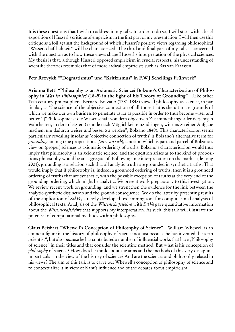It is these questions that I wish to address in my talk. In order to do so, I will start with a brief exposition of Husserl's critique of empricism in the first part of my presentation. I will then use this critique as a foil against the background of which Husserl's positive views regarding philosophical "Wissenschaftlichkeit" will be characterized. The third and final part of my talk is concerned with the question as to how these views shape Husserl's interpretation of the physical sciences. My thesis is that, although Husserl opposed empiricism in crucial respects, his understanding of scientific theories resembles that of more radical empiricists such as Bas van Fraassen.

#### Petr Rezvykh ""Dogmatismus" und "Kritizismus" in F.W.J.Schellings Frühwerk"

Arianna Betti "Philosophy as an Axiomatic Science? Bolzano's Characterization of Philosophy in Was ist Philosophie? (1849) in the light of his Theory of Grounding" Like other 19th century philosophers, Bernard Bolzano (1781-1848) viewed philosophy as science, in particular, as "the science of the objective connection of all those truths the ultimate grounds of which we make our own business to penetrate as far as possible in order to thus become wiser and better." ("Philosophie ist die Wissenschaft von dem objectiven Zusammenhange aller derjenigen Wahrheiten, in deren letzten Gründe nach Möglichkeit einzudringen, wir uns zu einer Aufgabe machen, um dadurch weiser und besser zu werden", Bolzano 1849). This characterization seems particularly revealing insofar as 'objective connection of truths' is Bolzano's alternative term for grounding among true propositions (Sätze an sich), a notion which is part and parcel of Bolzano's view on (proper) sciences as axiomatic orderings of truths. Bolzano's characterisation would thus imply that philosophy is an axiomatic science, and the question arises as to the kind of propositions philosophy would be an aggregate of. Following one interpretation on the market (de Jong 2001), grounding is a relation such that all analytic truths are grounded in synthetic truths. That would imply that if philosophy is, indeed, a grounded ordering of truths, then it is a grounded ordering of truths that are synthetic, with the possible exception of truths at the very end of the grounding ordering, which might be analytic. We present work preparatory to this investigation. We review recent work on grounding, and we strengthen the evidence for the link between the analytic-synthetic distinction and the ground-consequence. We do the latter by presenting results of the application of SalVe, a newly developed text-mining tool for computational analysis of philosophical texts. Analysis of the Wissenschaftslehre with SalVe gave quantitative information about the Wissenschaftslehre that supports my interpretation. As such, this talk will illustrate the potential of computational methods within philosophy.

Claus Beisbart "Whewell's Conception of Philosophy of Science" William Whewell is an eminent figure in the history of philosophy of science not just because he has invented the term "scientist", but also because he has contributed a number of influential works that have "Philosophy of science" in their titles and that consider the scientific method. But what is his conception of philosophy of science? How does he think about the aims and the methods of this very discipline, in particular in the view of the history of science? And are the sciences and philosophy related in his views? The aim of this talk is to carve out Whewell's conception of philosophy of science and to contextualize it in view of Kant's influence and of the debates about empiricism.